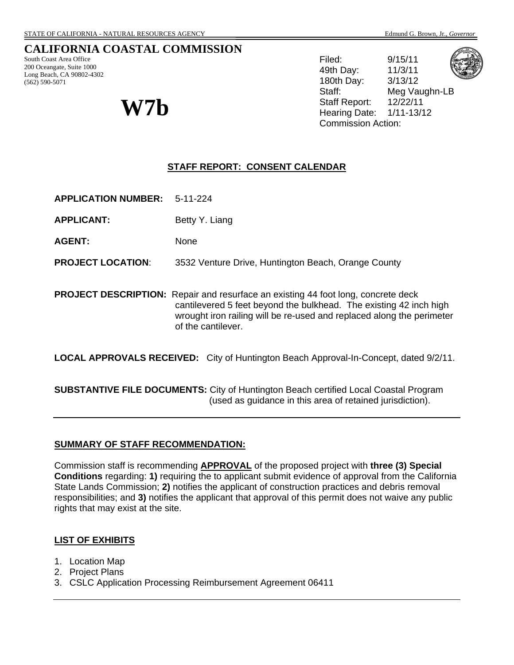# **CALIFORNIA COASTAL COMMISSION**

South Coast Area Office 200 Oceangate, Suite 1000 Long Beach, CA 90802-4302 (562) 590-5071

Filed: 9/15/11 49th Day: 11/3/11 180th Day: 3/13/12 Staff: Meg Vaughn-LB Staff Report: 12/22/11  $W7b$  Staff Report:  $12/22/11$ <br>Hearing Date:  $1/11-13/12$ Commission Action:



**STAFF REPORT: CONSENT CALENDAR**

**APPLICATION NUMBER:** 5-11-224

**APPLICANT:** Betty Y. Liang

AGENT: None

**PROJECT LOCATION**: 3532 Venture Drive, Huntington Beach, Orange County

**PROJECT DESCRIPTION:** Repair and resurface an existing 44 foot long, concrete deck cantilevered 5 feet beyond the bulkhead. The existing 42 inch high wrought iron railing will be re-used and replaced along the perimeter of the cantilever.

**LOCAL APPROVALS RECEIVED:** City of Huntington Beach Approval-In-Concept, dated 9/2/11.

**SUBSTANTIVE FILE DOCUMENTS:** City of Huntington Beach certified Local Coastal Program (used as guidance in this area of retained jurisdiction).

#### **SUMMARY OF STAFF RECOMMENDATION:**

Commission staff is recommending **APPROVAL** of the proposed project with **three (3) Special Conditions** regarding: **1)** requiring the to applicant submit evidence of approval from the California State Lands Commission; **2)** notifies the applicant of construction practices and debris removal responsibilities; and **3)** notifies the applicant that approval of this permit does not waive any public rights that may exist at the site.

#### **LIST OF EXHIBITS**

- 1. Location Map
- 2. Project Plans
- 3. CSLC Application Processing Reimbursement Agreement 06411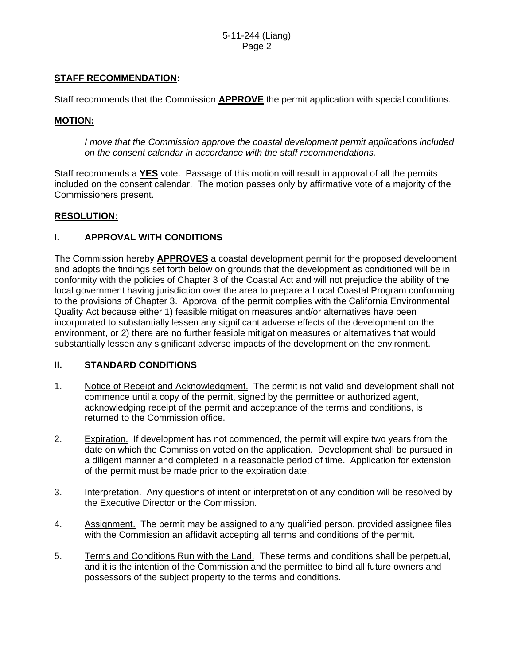# **STAFF RECOMMENDATION:**

Staff recommends that the Commission **APPROVE** the permit application with special conditions.

### **MOTION:**

*I move that the Commission approve the coastal development permit applications included on the consent calendar in accordance with the staff recommendations.*

Staff recommends a **YES** vote. Passage of this motion will result in approval of all the permits included on the consent calendar. The motion passes only by affirmative vote of a majority of the Commissioners present.

#### **RESOLUTION:**

## **I. APPROVAL WITH CONDITIONS**

The Commission hereby **APPROVES** a coastal development permit for the proposed development and adopts the findings set forth below on grounds that the development as conditioned will be in conformity with the policies of Chapter 3 of the Coastal Act and will not prejudice the ability of the local government having jurisdiction over the area to prepare a Local Coastal Program conforming to the provisions of Chapter 3. Approval of the permit complies with the California Environmental Quality Act because either 1) feasible mitigation measures and/or alternatives have been incorporated to substantially lessen any significant adverse effects of the development on the environment, or 2) there are no further feasible mitigation measures or alternatives that would substantially lessen any significant adverse impacts of the development on the environment.

## **II. STANDARD CONDITIONS**

- 1. Notice of Receipt and Acknowledgment. The permit is not valid and development shall not commence until a copy of the permit, signed by the permittee or authorized agent, acknowledging receipt of the permit and acceptance of the terms and conditions, is returned to the Commission office.
- 2. Expiration. If development has not commenced, the permit will expire two years from the date on which the Commission voted on the application. Development shall be pursued in a diligent manner and completed in a reasonable period of time. Application for extension of the permit must be made prior to the expiration date.
- 3. Interpretation. Any questions of intent or interpretation of any condition will be resolved by the Executive Director or the Commission.
- 4. Assignment. The permit may be assigned to any qualified person, provided assignee files with the Commission an affidavit accepting all terms and conditions of the permit.
- 5. Terms and Conditions Run with the Land. These terms and conditions shall be perpetual, and it is the intention of the Commission and the permittee to bind all future owners and possessors of the subject property to the terms and conditions.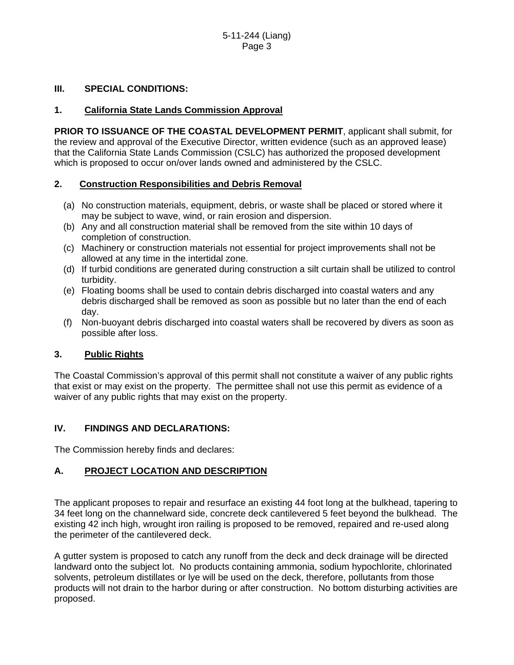## **III. SPECIAL CONDITIONS:**

### **1. California State Lands Commission Approval**

**PRIOR TO ISSUANCE OF THE COASTAL DEVELOPMENT PERMIT**, applicant shall submit, for the review and approval of the Executive Director, written evidence (such as an approved lease) that the California State Lands Commission (CSLC) has authorized the proposed development which is proposed to occur on/over lands owned and administered by the CSLC.

#### **2. Construction Responsibilities and Debris Removal**

- (a) No construction materials, equipment, debris, or waste shall be placed or stored where it may be subject to wave, wind, or rain erosion and dispersion.
- (b) Any and all construction material shall be removed from the site within 10 days of completion of construction.
- (c) Machinery or construction materials not essential for project improvements shall not be allowed at any time in the intertidal zone.
- (d) If turbid conditions are generated during construction a silt curtain shall be utilized to control turbidity.
- (e) Floating booms shall be used to contain debris discharged into coastal waters and any debris discharged shall be removed as soon as possible but no later than the end of each day.
- (f) Non-buoyant debris discharged into coastal waters shall be recovered by divers as soon as possible after loss.

## **3. Public Rights**

The Coastal Commission's approval of this permit shall not constitute a waiver of any public rights that exist or may exist on the property. The permittee shall not use this permit as evidence of a waiver of any public rights that may exist on the property.

## **IV. FINDINGS AND DECLARATIONS:**

The Commission hereby finds and declares:

## **A. PROJECT LOCATION AND DESCRIPTION**

The applicant proposes to repair and resurface an existing 44 foot long at the bulkhead, tapering to 34 feet long on the channelward side, concrete deck cantilevered 5 feet beyond the bulkhead. The existing 42 inch high, wrought iron railing is proposed to be removed, repaired and re-used along the perimeter of the cantilevered deck.

A gutter system is proposed to catch any runoff from the deck and deck drainage will be directed landward onto the subject lot. No products containing ammonia, sodium hypochlorite, chlorinated solvents, petroleum distillates or lye will be used on the deck, therefore, pollutants from those products will not drain to the harbor during or after construction. No bottom disturbing activities are proposed.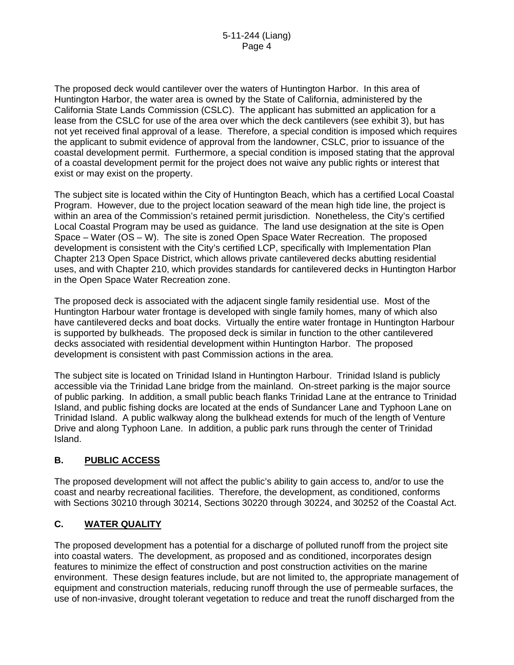The proposed deck would cantilever over the waters of Huntington Harbor. In this area of Huntington Harbor, the water area is owned by the State of California, administered by the California State Lands Commission (CSLC). The applicant has submitted an application for a lease from the CSLC for use of the area over which the deck cantilevers (see exhibit 3), but has not yet received final approval of a lease. Therefore, a special condition is imposed which requires the applicant to submit evidence of approval from the landowner, CSLC, prior to issuance of the coastal development permit. Furthermore, a special condition is imposed stating that the approval of a coastal development permit for the project does not waive any public rights or interest that exist or may exist on the property.

The subject site is located within the City of Huntington Beach, which has a certified Local Coastal Program. However, due to the project location seaward of the mean high tide line, the project is within an area of the Commission's retained permit jurisdiction. Nonetheless, the City's certified Local Coastal Program may be used as guidance. The land use designation at the site is Open Space – Water (OS – W). The site is zoned Open Space Water Recreation. The proposed development is consistent with the City's certified LCP, specifically with Implementation Plan Chapter 213 Open Space District, which allows private cantilevered decks abutting residential uses, and with Chapter 210, which provides standards for cantilevered decks in Huntington Harbor in the Open Space Water Recreation zone.

The proposed deck is associated with the adjacent single family residential use. Most of the Huntington Harbour water frontage is developed with single family homes, many of which also have cantilevered decks and boat docks. Virtually the entire water frontage in Huntington Harbour is supported by bulkheads. The proposed deck is similar in function to the other cantilevered decks associated with residential development within Huntington Harbor. The proposed development is consistent with past Commission actions in the area.

The subject site is located on Trinidad Island in Huntington Harbour. Trinidad Island is publicly accessible via the Trinidad Lane bridge from the mainland. On-street parking is the major source of public parking. In addition, a small public beach flanks Trinidad Lane at the entrance to Trinidad Island, and public fishing docks are located at the ends of Sundancer Lane and Typhoon Lane on Trinidad Island. A public walkway along the bulkhead extends for much of the length of Venture Drive and along Typhoon Lane. In addition, a public park runs through the center of Trinidad Island.

# **B. PUBLIC ACCESS**

The proposed development will not affect the public's ability to gain access to, and/or to use the coast and nearby recreational facilities. Therefore, the development, as conditioned, conforms with Sections 30210 through 30214, Sections 30220 through 30224, and 30252 of the Coastal Act.

# **C. WATER QUALITY**

The proposed development has a potential for a discharge of polluted runoff from the project site into coastal waters. The development, as proposed and as conditioned, incorporates design features to minimize the effect of construction and post construction activities on the marine environment. These design features include, but are not limited to, the appropriate management of equipment and construction materials, reducing runoff through the use of permeable surfaces, the use of non-invasive, drought tolerant vegetation to reduce and treat the runoff discharged from the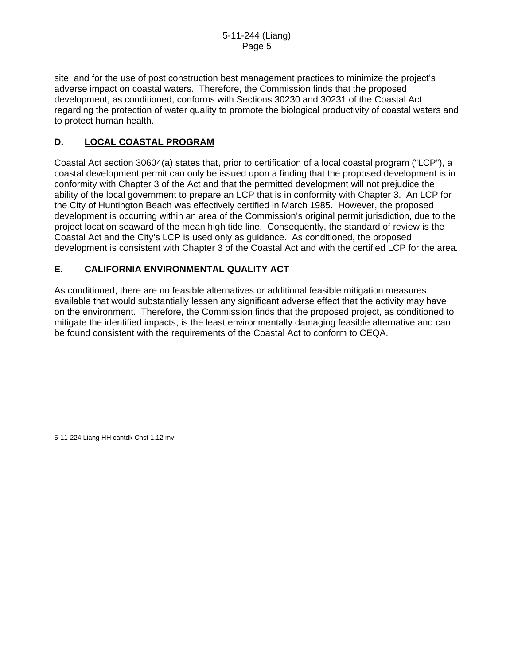site, and for the use of post construction best management practices to minimize the project's adverse impact on coastal waters. Therefore, the Commission finds that the proposed development, as conditioned, conforms with Sections 30230 and 30231 of the Coastal Act regarding the protection of water quality to promote the biological productivity of coastal waters and to protect human health.

# **D. LOCAL COASTAL PROGRAM**

Coastal Act section 30604(a) states that, prior to certification of a local coastal program ("LCP"), a coastal development permit can only be issued upon a finding that the proposed development is in conformity with Chapter 3 of the Act and that the permitted development will not prejudice the ability of the local government to prepare an LCP that is in conformity with Chapter 3. An LCP for the City of Huntington Beach was effectively certified in March 1985. However, the proposed development is occurring within an area of the Commission's original permit jurisdiction, due to the project location seaward of the mean high tide line. Consequently, the standard of review is the Coastal Act and the City's LCP is used only as guidance. As conditioned, the proposed development is consistent with Chapter 3 of the Coastal Act and with the certified LCP for the area.

# **E. CALIFORNIA ENVIRONMENTAL QUALITY ACT**

As conditioned, there are no feasible alternatives or additional feasible mitigation measures available that would substantially lessen any significant adverse effect that the activity may have on the environment. Therefore, the Commission finds that the proposed project, as conditioned to mitigate the identified impacts, is the least environmentally damaging feasible alternative and can be found consistent with the requirements of the Coastal Act to conform to CEQA.

5-11-224 Liang HH cantdk Cnst 1.12 mv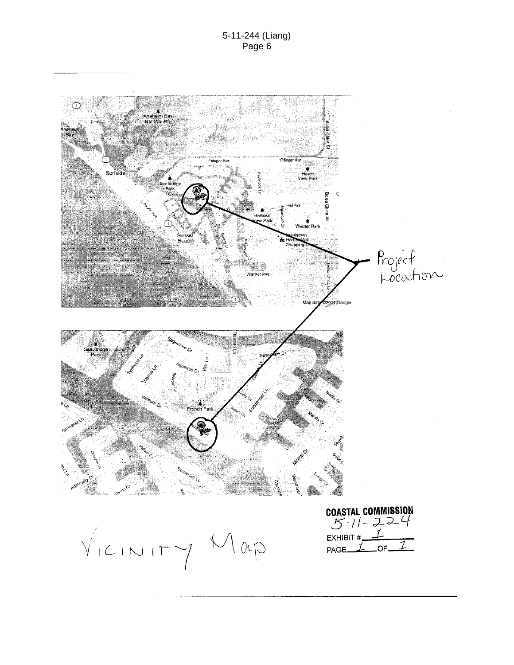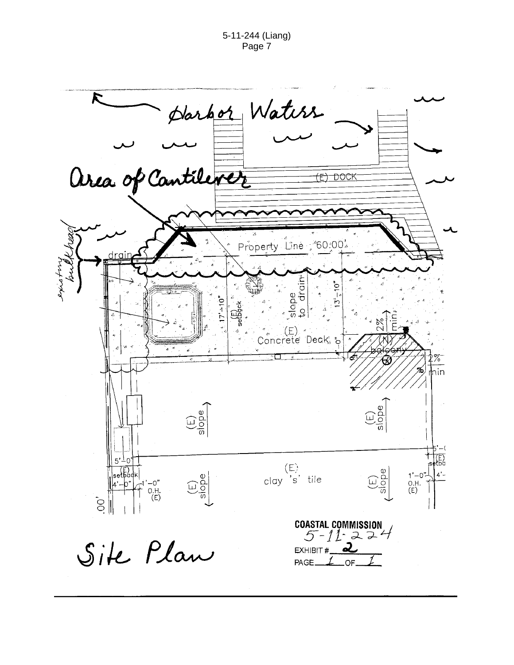5-11-244 (Liang) Page 7